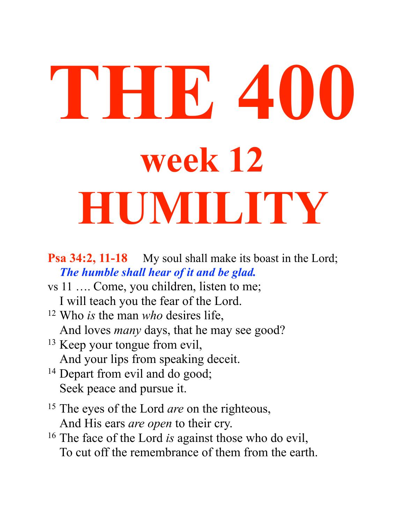# **THE 400 week 12 HUMILITY**

#### **Psa 34:2, 11-18** My soul shall make its boast in the Lord; *The humble shall hear of it and be glad.*

- vs 11 …. Come, you children, listen to me; I will teach you the fear of the Lord.
- 12 Who *is* the man *who* desires life, And loves *many* days, that he may see good?
- <sup>13</sup> Keep your tongue from evil, And your lips from speaking deceit.
- <sup>14</sup> Depart from evil and do good; Seek peace and pursue it.
- 15 The eyes of the Lord *are* on the righteous, And His ears *are open* to their cry.
- 16 The face of the Lord *is* against those who do evil, To cut off the remembrance of them from the earth.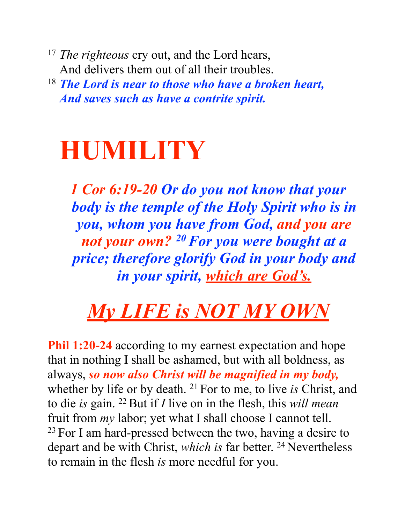<sup>17</sup> *The righteous* cry out, and the Lord hears, And delivers them out of all their troubles.

<sup>18</sup> *The Lord is near to those who have a broken heart, And saves such as have a contrite spirit.*

# **HUMILITY**

*1 Cor 6:19-20 Or do you not know that your body is the temple of the Holy Spirit who is in you, whom you have from God, and you are not your own? 20 For you were bought at a price; therefore glorify God in your body and in your spirit, which are God's.*

## *My LIFE is NOT MY OWN*

**Phil 1:20-24** according to my earnest expectation and hope that in nothing I shall be ashamed, but with all boldness, as always, *so now also Christ will be magnified in my body,* whether by life or by death. 21 For to me, to live *is* Christ, and to die *is* gain. 22 But if *I* live on in the flesh, this *will mean* fruit from *my* labor; yet what I shall choose I cannot tell.  $23$  For I am hard-pressed between the two, having a desire to depart and be with Christ, *which is* far better. <sup>24</sup> Nevertheless to remain in the flesh *is* more needful for you.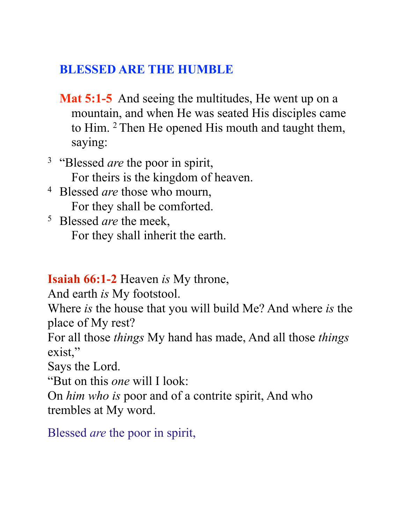#### **BLESSED ARE THE HUMBLE**

- **Mat 5:1-5** And seeing the multitudes, He went up on a mountain, and when He was seated His disciples came to Him. 2 Then He opened His mouth and taught them, saying:
- <sup>3</sup> "Blessed *are* the poor in spirit, For theirs is the kingdom of heaven.
- 4 Blessed *are* those who mourn, For they shall be comforted.
- 5 Blessed *are* the meek, For they shall inherit the earth.

**Isaiah 66:1-2** Heaven *is* My throne,

And earth *is* My footstool.

Where *is* the house that you will build Me? And where *is* the place of My rest?

For all those *things* My hand has made, And all those *things*  exist,"

Says the Lord.

"But on this *one* will I look:

On *him who is* poor and of a contrite spirit, And who trembles at My word.

Blessed *are* the poor in spirit,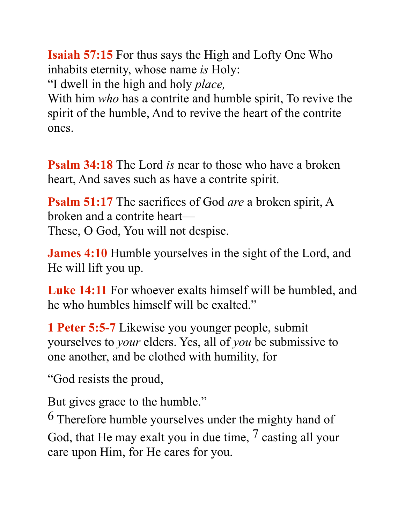**Isaiah 57:15** For thus says the High and Lofty One Who inhabits eternity, whose name *is* Holy: "I dwell in the high and holy *place,*

With him *who* has a contrite and humble spirit, To revive the spirit of the humble, And to revive the heart of the contrite ones.

**Psalm 34:18** The Lord *is* near to those who have a broken heart, And saves such as have a contrite spirit.

**Psalm 51:17** The sacrifices of God *are* a broken spirit, A broken and a contrite heart— These, O God, You will not despise.

**James 4:10** Humble yourselves in the sight of the Lord, and He will lift you up.

**Luke 14:11** For whoever exalts himself will be humbled, and he who humbles himself will be exalted."

**1 Peter 5:5-7** Likewise you younger people, submit yourselves to *your* elders. Yes, all of *you* be submissive to one another, and be clothed with humility, for

"God resists the proud,

But gives grace to the humble."

6 Therefore humble yourselves under the mighty hand of God, that He may exalt you in due time, <sup>7</sup> casting all your care upon Him, for He cares for you.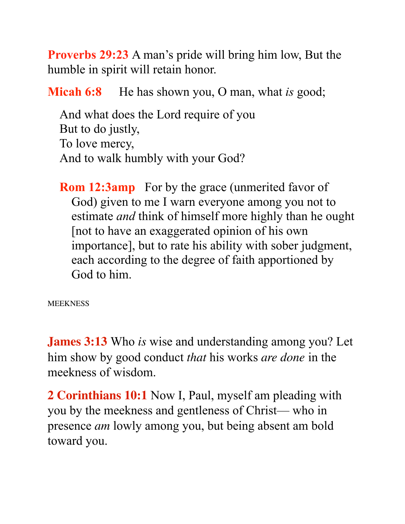**Proverbs 29:23** A man's pride will bring him low, But the humble in spirit will retain honor.

**Micah 6:8** He has shown you, O man, what *is* good;

And what does the Lord require of you But to do justly, To love mercy, And to walk humbly with your God?

**Rom 12:3amp** For by the grace (unmerited favor of God) given to me I warn everyone among you not to estimate *and* think of himself more highly than he ought [not to have an exaggerated opinion of his own importance], but to rate his ability with sober judgment, each according to the degree of faith apportioned by God to him.

**MEEKNESS** 

**James 3:13** Who *is* wise and understanding among you? Let him show by good conduct *that* his works *are done* in the meekness of wisdom.

**2 Corinthians 10:1** Now I, Paul, myself am pleading with you by the meekness and gentleness of Christ— who in presence *am* lowly among you, but being absent am bold toward you.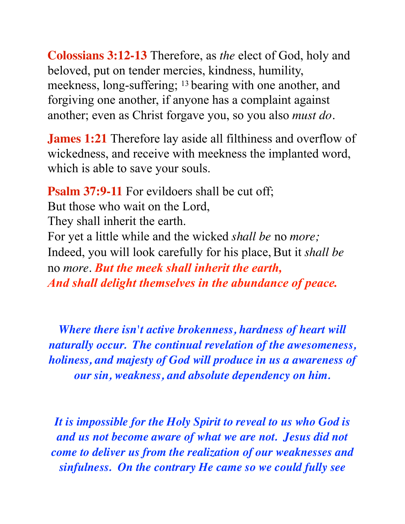**Colossians 3:12-13** Therefore, as *the* elect of God, holy and beloved, put on tender mercies, kindness, humility, meekness, long-suffering; 13 bearing with one another, and forgiving one another, if anyone has a complaint against another; even as Christ forgave you, so you also *must do.*

**James 1:21** Therefore lay aside all filthiness and overflow of wickedness, and receive with meekness the implanted word, which is able to save your souls.

**Psalm 37:9-11** For evildoers shall be cut off; But those who wait on the Lord, They shall inherit the earth. For yet a little while and the wicked *shall be* no *more;*  Indeed, you will look carefully for his place, But it *shall be* no *more. But the meek shall inherit the earth, And shall delight themselves in the abundance of peace.*

*Where there isn't active brokenness, hardness of heart will naturally occur. The continual revelation of the awesomeness, holiness, and majesty of God will produce in us a awareness of our sin, weakness, and absolute dependency on him.*

*It is impossible for the Holy Spirit to reveal to us who God is and us not become aware of what we are not. Jesus did not come to deliver us from the realization of our weaknesses and sinfulness. On the contrary He came so we could fully see*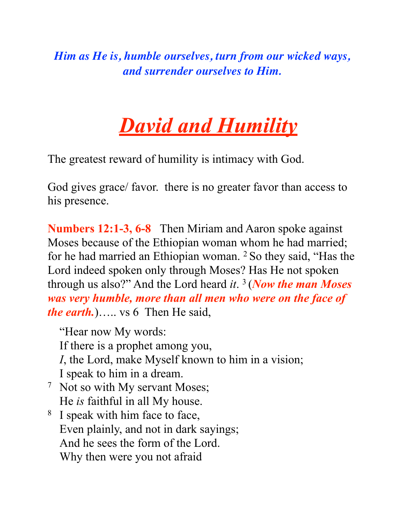*Him as He is, humble ourselves, turn from our wicked ways, and surrender ourselves to Him.*

## *David and Humility*

The greatest reward of humility is intimacy with God.

God gives grace/ favor. there is no greater favor than access to his presence.

**Numbers 12:1-3, 6-8** Then Miriam and Aaron spoke against Moses because of the Ethiopian woman whom he had married; for he had married an Ethiopian woman. 2 So they said, "Has the Lord indeed spoken only through Moses? Has He not spoken through us also?" And the Lord heard *it*. 3 (*Now the man Moses was very humble, more than all men who were on the face of the earth.*)….. vs 6 Then He said,

"Hear now My words: If there is a prophet among you, *I*, the Lord, make Myself known to him in a vision; I speak to him in a dream. 7 Not so with My servant Moses;

- He *is* faithful in all My house.
- 8 I speak with him face to face, Even plainly, and not in dark sayings; And he sees the form of the Lord. Why then were you not afraid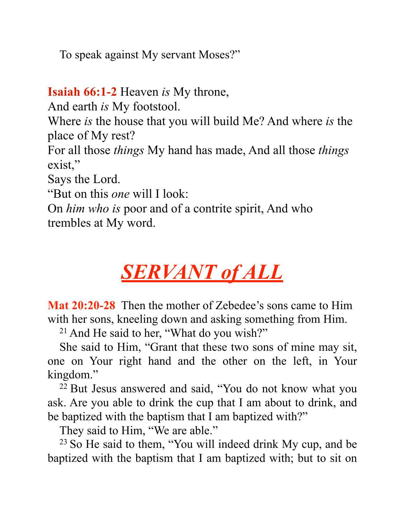To speak against My servant Moses?"

**Isaiah 66:1-2** Heaven *is* My throne,

And earth *is* My footstool.

Where *is* the house that you will build Me? And where *is* the place of My rest?

For all those *things* My hand has made, And all those *things*  exist,"

Says the Lord.

"But on this *one* will I look:

On *him who is* poor and of a contrite spirit, And who trembles at My word.

## *SERVANT of ALL*

**Mat 20:20-28** Then the mother of Zebedee's sons came to Him with her sons, kneeling down and asking something from Him.

21 And He said to her, "What do you wish?"

She said to Him, "Grant that these two sons of mine may sit, one on Your right hand and the other on the left, in Your kingdom."

22 But Jesus answered and said, "You do not know what you ask. Are you able to drink the cup that I am about to drink, and be baptized with the baptism that I am baptized with?"

They said to Him, "We are able."

23 So He said to them, "You will indeed drink My cup, and be baptized with the baptism that I am baptized with; but to sit on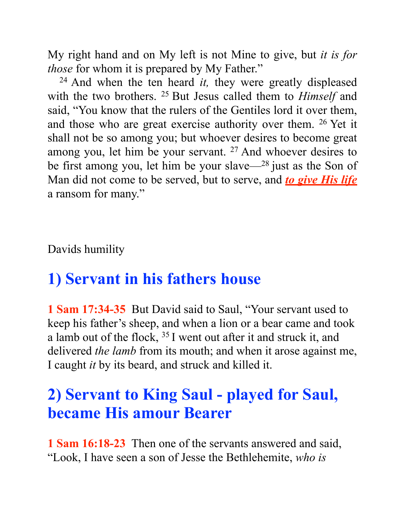My right hand and on My left is not Mine to give, but *it is for those* for whom it is prepared by My Father."

24 And when the ten heard *it,* they were greatly displeased with the two brothers. 25 But Jesus called them to *Himself* and said, "You know that the rulers of the Gentiles lord it over them, and those who are great exercise authority over them. 26 Yet it shall not be so among you; but whoever desires to become great among you, let him be your servant. 27 And whoever desires to be first among you, let him be your slave—28 just as the Son of Man did not come to be served, but to serve, and *to give His life* a ransom for many."

Davids humility

#### **1) Servant in his fathers house**

**1 Sam 17:34-35** But David said to Saul, "Your servant used to keep his father's sheep, and when a lion or a bear came and took a lamb out of the flock, 35 I went out after it and struck it, and delivered *the lamb* from its mouth; and when it arose against me, I caught *it* by its beard, and struck and killed it.

#### **2) Servant to King Saul - played for Saul, became His amour Bearer**

**1 Sam 16:18-23** Then one of the servants answered and said, "Look, I have seen a son of Jesse the Bethlehemite, *who is*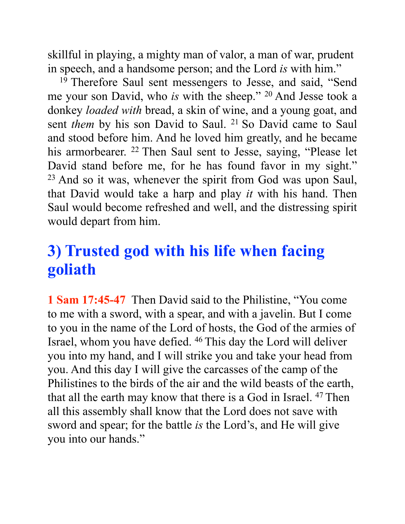skillful in playing, a mighty man of valor, a man of war, prudent in speech, and a handsome person; and the Lord *is* with him."

<sup>19</sup> Therefore Saul sent messengers to Jesse, and said, "Send me your son David, who *is* with the sheep." 20 And Jesse took a donkey *loaded with* bread, a skin of wine, and a young goat, and sent *them* by his son David to Saul. <sup>21</sup> So David came to Saul and stood before him. And he loved him greatly, and he became his armorbearer. <sup>22</sup> Then Saul sent to Jesse, saying, "Please let David stand before me, for he has found favor in my sight."  $23$  And so it was, whenever the spirit from God was upon Saul, that David would take a harp and play *it* with his hand. Then Saul would become refreshed and well, and the distressing spirit would depart from him.

#### **3) Trusted god with his life when facing goliath**

**1 Sam 17:45-47** Then David said to the Philistine, "You come to me with a sword, with a spear, and with a javelin. But I come to you in the name of the Lord of hosts, the God of the armies of Israel, whom you have defied. 46 This day the Lord will deliver you into my hand, and I will strike you and take your head from you. And this day I will give the carcasses of the camp of the Philistines to the birds of the air and the wild beasts of the earth, that all the earth may know that there is a God in Israel. 47 Then all this assembly shall know that the Lord does not save with sword and spear; for the battle *is* the Lord's, and He will give you into our hands."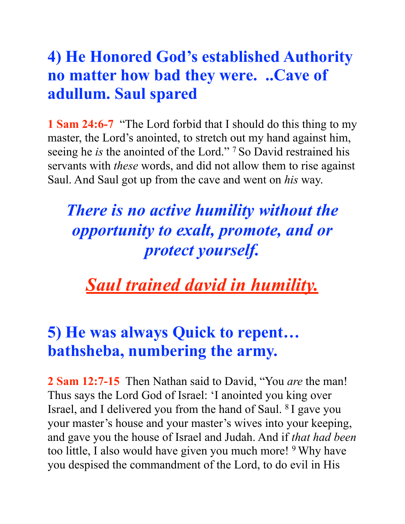#### **4) He Honored God's established Authority no matter how bad they were. ..Cave of adullum. Saul spared**

**1 Sam 24:6-7** "The Lord forbid that I should do this thing to my master, the Lord's anointed, to stretch out my hand against him, seeing he *is* the anointed of the Lord." 7 So David restrained his servants with *these* words, and did not allow them to rise against Saul. And Saul got up from the cave and went on *his* way.

## *There is no active humility without the opportunity to exalt, promote, and or protect yourself.*

*Saul trained david in humility.*

#### **5) He was always Quick to repent… bathsheba, numbering the army.**

**2 Sam 12:7-15** Then Nathan said to David, "You *are* the man! Thus says the Lord God of Israel: 'I anointed you king over Israel, and I delivered you from the hand of Saul. 8 I gave you your master's house and your master's wives into your keeping, and gave you the house of Israel and Judah. And if *that had been* too little, I also would have given you much more! <sup>9</sup> Why have you despised the commandment of the Lord, to do evil in His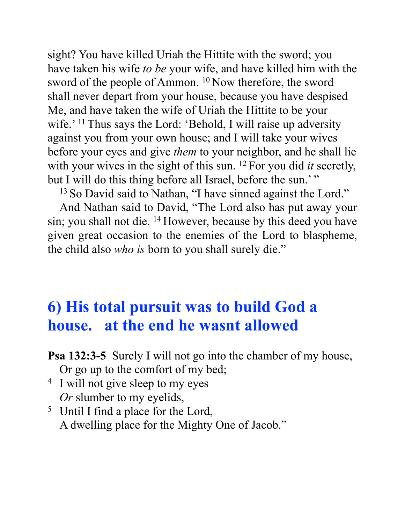sight? You have killed Uriah the Hittite with the sword; you have taken his wife *to be* your wife, and have killed him with the sword of the people of Ammon. 10 Now therefore, the sword shall never depart from your house, because you have despised Me, and have taken the wife of Uriah the Hittite to be your wife.' <sup>11</sup> Thus says the Lord: 'Behold, I will raise up adversity against you from your own house; and I will take your wives before your eyes and give *them* to your neighbor, and he shall lie with your wives in the sight of this sun. 12 For you did *it* secretly, but I will do this thing before all Israel, before the sun.'"

<sup>13</sup> So David said to Nathan, "I have sinned against the Lord."

And Nathan said to David, "The Lord also has put away your sin; you shall not die. 14 However, because by this deed you have given great occasion to the enemies of the Lord to blaspheme, the child also *who is* born to you shall surely die."

#### **6) His total pursuit was to build God a house. at the end he wasnt allowed**

**Psa 132:3-5** Surely I will not go into the chamber of my house, Or go up to the comfort of my bed;

- <sup>4</sup> I will not give sleep to my eyes *Or* slumber to my eyelids,
- 5 Until I find a place for the Lord, A dwelling place for the Mighty One of Jacob."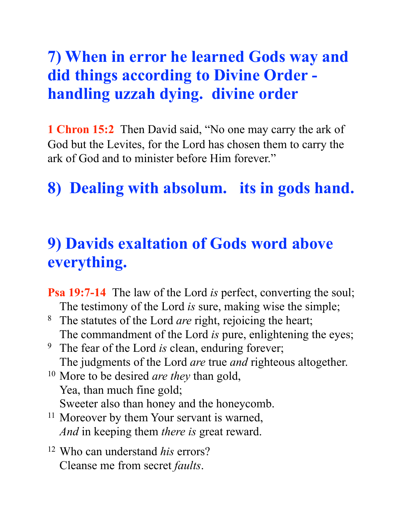#### **7) When in error he learned Gods way and did things according to Divine Order handling uzzah dying. divine order**

**1 Chron 15:2** Then David said, "No one may carry the ark of God but the Levites, for the Lord has chosen them to carry the ark of God and to minister before Him forever."

#### **8) Dealing with absolum. its in gods hand.**

#### **9) Davids exaltation of Gods word above everything.**

- **Psa 19:7-14** The law of the Lord *is* perfect, converting the soul; The testimony of the Lord *is* sure, making wise the simple;
- 8 The statutes of the Lord *are* right, rejoicing the heart; The commandment of the Lord *is* pure, enlightening the eyes;
- 9 The fear of the Lord *is* clean, enduring forever; The judgments of the Lord *are* true *and* righteous altogether.
- 10 More to be desired *are they* than gold, Yea, than much fine gold; Sweeter also than honey and the honeycomb.
- <sup>11</sup> Moreover by them Your servant is warned, *And* in keeping them *there is* great reward.
- 12 Who can understand *his* errors? Cleanse me from secret *faults*.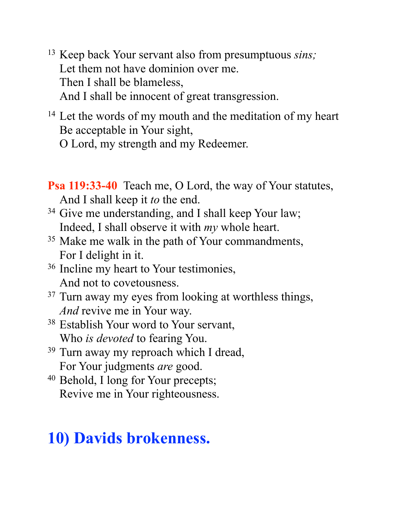- 13 Keep back Your servant also from presumptuous *sins;* Let them not have dominion over me. Then I shall be blameless, And I shall be innocent of great transgression.
- <sup>14</sup> Let the words of my mouth and the meditation of my heart Be acceptable in Your sight,
	- O Lord, my strength and my Redeemer.

**Psa 119:33-40** Teach me, O Lord, the way of Your statutes, And I shall keep it *to* the end.

- <sup>34</sup> Give me understanding, and I shall keep Your law; Indeed, I shall observe it with *my* whole heart.
- <sup>35</sup> Make me walk in the path of Your commandments, For I delight in it.
- 36 Incline my heart to Your testimonies, And not to covetousness.
- <sup>37</sup> Turn away my eyes from looking at worthless things, *And* revive me in Your way.
- <sup>38</sup> Establish Your word to Your servant, Who *is devoted* to fearing You.
- <sup>39</sup> Turn away my reproach which I dread, For Your judgments *are* good.
- 40 Behold, I long for Your precepts; Revive me in Your righteousness.

#### **10) Davids brokenness.**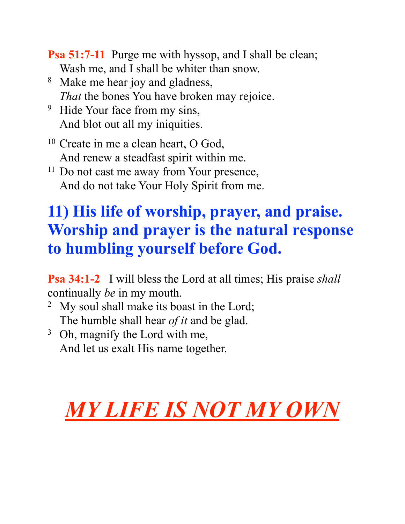**Psa 51:7-11** Purge me with hyssop, and I shall be clean; Wash me, and I shall be whiter than snow.

- 8 Make me hear joy and gladness, *That* the bones You have broken may rejoice.
- <sup>9</sup> Hide Your face from my sins, And blot out all my iniquities.
- 10 Create in me a clean heart, O God, And renew a steadfast spirit within me.
- <sup>11</sup> Do not cast me away from Your presence, And do not take Your Holy Spirit from me.

## **11) His life of worship, prayer, and praise. Worship and prayer is the natural response to humbling yourself before God.**

**Psa 34:1-2** I will bless the Lord at all times; His praise *shall* continually *be* in my mouth.

- <sup>2</sup> My soul shall make its boast in the Lord; The humble shall hear *of it* and be glad.
- <sup>3</sup> Oh, magnify the Lord with me, And let us exalt His name together.

# *MY LIFE IS NOT MY OWN*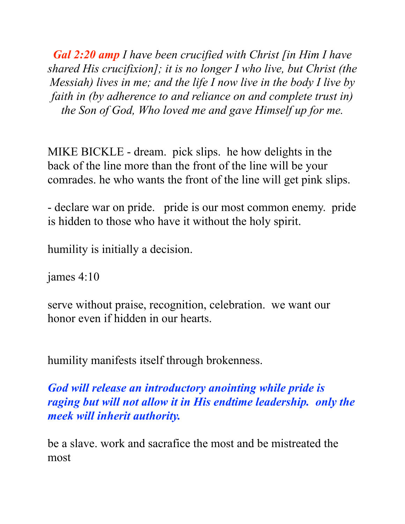*Gal 2:20 amp I have been crucified with Christ [in Him I have shared His crucifixion]; it is no longer I who live, but Christ (the Messiah) lives in me; and the life I now live in the body I live by faith in (by adherence to and reliance on and complete trust in) the Son of God, Who loved me and gave Himself up for me.* 

MIKE BICKLE - dream. pick slips. he how delights in the back of the line more than the front of the line will be your comrades. he who wants the front of the line will get pink slips.

- declare war on pride. pride is our most common enemy. pride is hidden to those who have it without the holy spirit.

humility is initially a decision.

james 4:10

serve without praise, recognition, celebration. we want our honor even if hidden in our hearts.

humility manifests itself through brokenness.

*God will release an introductory anointing while pride is raging but will not allow it in His endtime leadership. only the meek will inherit authority.* 

be a slave. work and sacrafice the most and be mistreated the most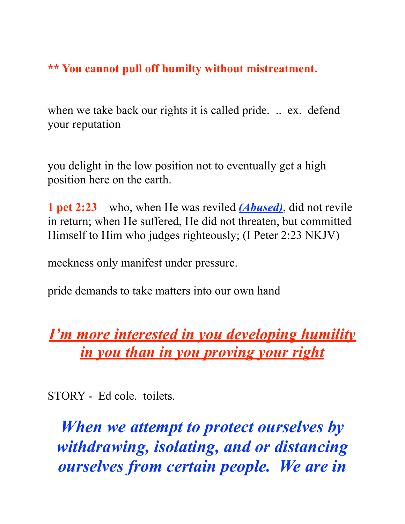#### **\*\* You cannot pull off humilty without mistreatment.**

when we take back our rights it is called pride. .. ex. defend your reputation

you delight in the low position not to eventually get a high position here on the earth.

**1 pet 2:23** who, when He was reviled *(Abused)*, did not revile in return; when He suffered, He did not threaten, but committed Himself to Him who judges righteously; (I Peter 2:23 NKJV)

meekness only manifest under pressure.

pride demands to take matters into our own hand

#### *I'm more interested in you developing humility in you than in you proving your right*

STORY - Ed cole. toilets.

*When we attempt to protect ourselves by withdrawing, isolating, and or distancing ourselves from certain people. We are in*